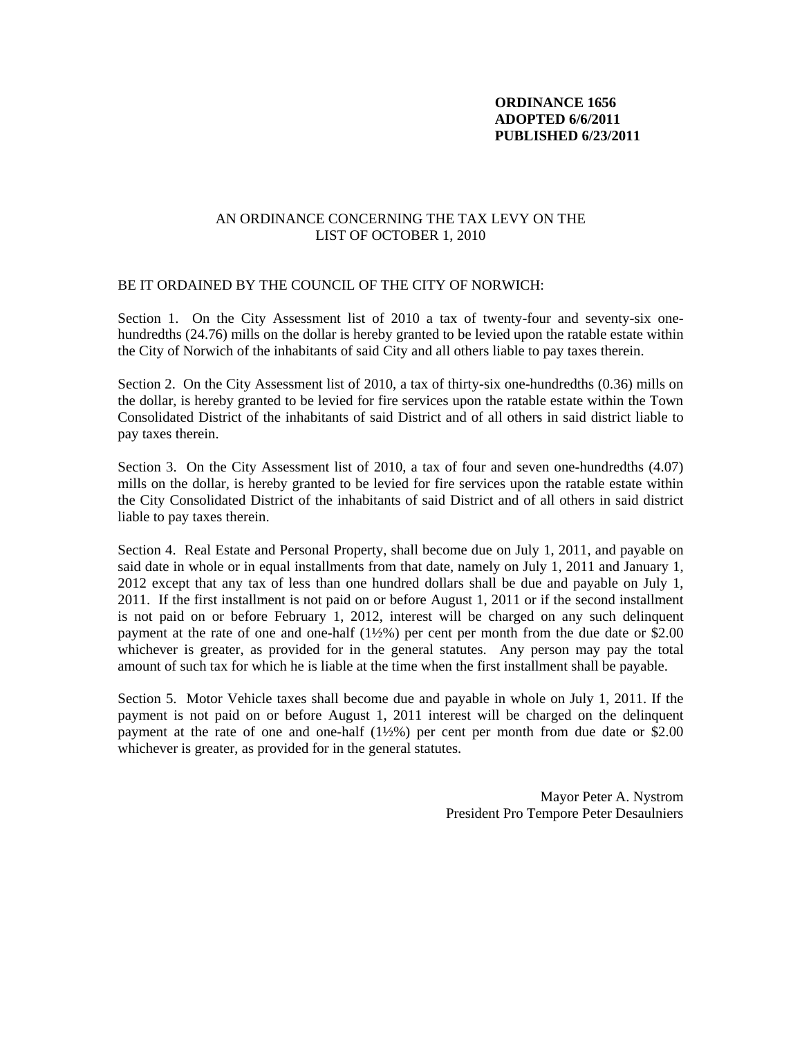### **ORDINANCE 1656 ADOPTED 6/6/2011 PUBLISHED 6/23/2011**

#### AN ORDINANCE CONCERNING THE TAX LEVY ON THE LIST OF OCTOBER 1, 2010

### BE IT ORDAINED BY THE COUNCIL OF THE CITY OF NORWICH:

Section 1. On the City Assessment list of 2010 a tax of twenty-four and seventy-six onehundredths (24.76) mills on the dollar is hereby granted to be levied upon the ratable estate within the City of Norwich of the inhabitants of said City and all others liable to pay taxes therein.

Section 2. On the City Assessment list of 2010, a tax of thirty-six one-hundredths (0.36) mills on the dollar, is hereby granted to be levied for fire services upon the ratable estate within the Town Consolidated District of the inhabitants of said District and of all others in said district liable to pay taxes therein.

Section 3. On the City Assessment list of 2010, a tax of four and seven one-hundredths (4.07) mills on the dollar, is hereby granted to be levied for fire services upon the ratable estate within the City Consolidated District of the inhabitants of said District and of all others in said district liable to pay taxes therein.

Section 4. Real Estate and Personal Property, shall become due on July 1, 2011, and payable on said date in whole or in equal installments from that date, namely on July 1, 2011 and January 1, 2012 except that any tax of less than one hundred dollars shall be due and payable on July 1, 2011. If the first installment is not paid on or before August 1, 2011 or if the second installment is not paid on or before February 1, 2012, interest will be charged on any such delinquent payment at the rate of one and one-half (1½%) per cent per month from the due date or \$2.00 whichever is greater, as provided for in the general statutes. Any person may pay the total amount of such tax for which he is liable at the time when the first installment shall be payable.

Section 5. Motor Vehicle taxes shall become due and payable in whole on July 1, 2011. If the payment is not paid on or before August 1, 2011 interest will be charged on the delinquent payment at the rate of one and one-half  $(1/2%)$  per cent per month from due date or \$2.00 whichever is greater, as provided for in the general statutes.

> Mayor Peter A. Nystrom President Pro Tempore Peter Desaulniers